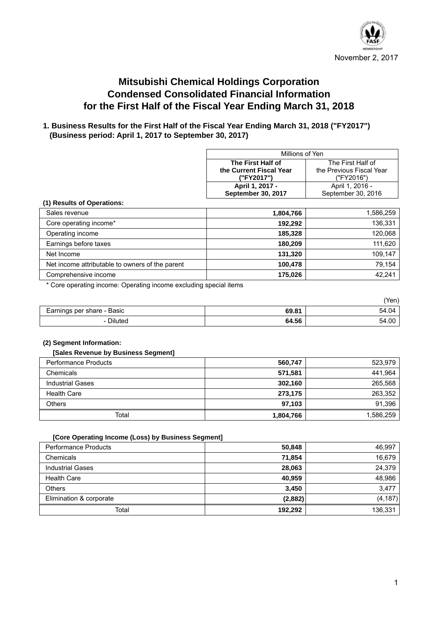

# **Mitsubishi Chemical Holdings Corporation Condensed Consolidated Financial Information for the First Half of the Fiscal Year Ending March 31, 2018**

# **1. Business Results for the First Half of the Fiscal Year Ending March 31, 2018 ("FY2017") (Business period: April 1, 2017 to September 30, 2017)**

| Millions of Yen         |                          |  |
|-------------------------|--------------------------|--|
| The First Half of       | The First Half of        |  |
| the Current Fiscal Year | the Previous Fiscal Year |  |
| ("FY2017")              | ("FY2016")               |  |
| April 1, 2017 -         | April 1, 2016 -          |  |
| September 30, 2017      | September 30, 2016       |  |

#### **(1) Results of Operations:**

| Sales revenue                                   | 1,804,766 | 1,586,259 |
|-------------------------------------------------|-----------|-----------|
| Core operating income*                          | 192.292   | 136,331   |
| Operating income                                | 185,328   | 120,068   |
| Earnings before taxes                           | 180,209   | 111,620   |
| Net Income                                      | 131,320   | 109,147   |
| Net income attributable to owners of the parent | 100.478   | 79.154    |
| Comprehensive income                            | 175.026   | 42,241    |

\* Core operating income: Operating income excluding special items

|                            |       | (Yen) |
|----------------------------|-------|-------|
| Earnings per share - Basic | 69.81 | 54.04 |
| - Diluted                  | 64.56 | 54.00 |

#### **(2) Segment Information:**

#### **[Sales Revenue by Business Segment]**

| <b>Performance Products</b> | 560,747   | 523,979   |
|-----------------------------|-----------|-----------|
| Chemicals                   | 571,581   | 441,964   |
| <b>Industrial Gases</b>     | 302,160   | 265,568   |
| <b>Health Care</b>          | 273,175   | 263,352   |
| Others                      | 97,103    | 91,396    |
| Total                       | 1,804,766 | 1,586,259 |

#### **[Core Operating Income (Loss) by Business Segment]**

| <b>Performance Products</b> | 50,848  | 46,997   |
|-----------------------------|---------|----------|
| Chemicals                   | 71,854  | 16,679   |
| <b>Industrial Gases</b>     | 28.063  | 24.379   |
| <b>Health Care</b>          | 40.959  | 48,986   |
| <b>Others</b>               | 3.450   | 3,477    |
| Elimination & corporate     | (2,882) | (4, 187) |
| Total                       | 192,292 | 136,331  |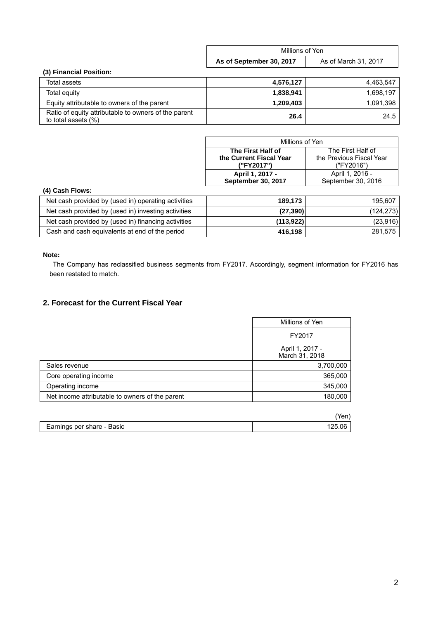|                         |                          | Millions of Yen      |  |
|-------------------------|--------------------------|----------------------|--|
|                         | As of September 30, 2017 | As of March 31, 2017 |  |
| (3) Financial Position: |                          |                      |  |

| Total assets                                                                   | 4,576,127 | 4.463.547 |
|--------------------------------------------------------------------------------|-----------|-----------|
| Total equity                                                                   | 1.838.941 | 1.698.197 |
| Equity attributable to owners of the parent                                    | 1.209.403 | 1.091.398 |
| Ratio of equity attributable to owners of the parent<br>to total assets $(\%)$ | 26.4      | 24.5      |

| Millions of Yen                        |                          |  |
|----------------------------------------|--------------------------|--|
| The First Half of<br>The First Half of |                          |  |
| the Current Fiscal Year                | the Previous Fiscal Year |  |
| ("FY2017")                             | ("FY2016")               |  |
| April 1, 2017 -                        | April 1, 2016 -          |  |
| September 30, 2017                     | September 30, 2016       |  |

### **(4) Cash Flows:**

| Net cash provided by (used in) operating activities | 189.173   | 195.607    |
|-----------------------------------------------------|-----------|------------|
| Net cash provided by (used in) investing activities | (27, 390) | (124, 273) |
| Net cash provided by (used in) financing activities | (113,922) | (23, 916)  |
| Cash and cash equivalents at end of the period      | 416,198   | 281,575    |

### **Note:**

 The Company has reclassified business segments from FY2017. Accordingly, segment information for FY2016 has been restated to match.

# **2. Forecast for the Current Fiscal Year**

|                                                 | Millions of Yen                   |
|-------------------------------------------------|-----------------------------------|
|                                                 | FY2017                            |
|                                                 | April 1, 2017 -<br>March 31, 2018 |
| Sales revenue                                   | 3,700,000                         |
| Core operating income                           | 365,000                           |
| Operating income                                | 345,000                           |
| Net income attributable to owners of the parent | 180,000                           |

| Earnings per share - Basic |  |
|----------------------------|--|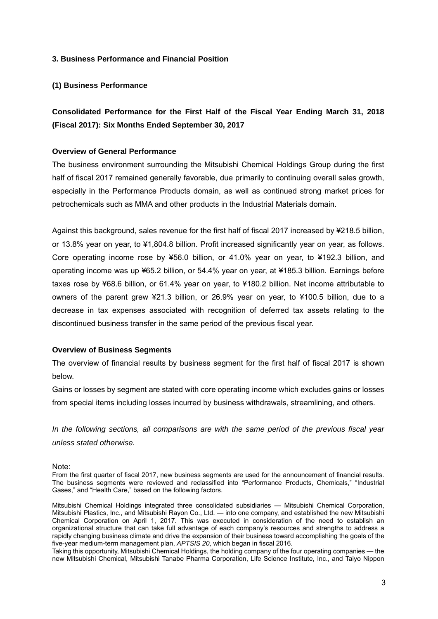### **3. Business Performance and Financial Position**

### **(1) Business Performance**

**Consolidated Performance for the First Half of the Fiscal Year Ending March 31, 2018 (Fiscal 2017): Six Months Ended September 30, 2017** 

#### **Overview of General Performance**

The business environment surrounding the Mitsubishi Chemical Holdings Group during the first half of fiscal 2017 remained generally favorable, due primarily to continuing overall sales growth, especially in the Performance Products domain, as well as continued strong market prices for petrochemicals such as MMA and other products in the Industrial Materials domain.

Against this background, sales revenue for the first half of fiscal 2017 increased by ¥218.5 billion, or 13.8% year on year, to ¥1,804.8 billion. Profit increased significantly year on year, as follows. Core operating income rose by ¥56.0 billion, or 41.0% year on year, to ¥192.3 billion, and operating income was up ¥65.2 billion, or 54.4% year on year, at ¥185.3 billion. Earnings before taxes rose by ¥68.6 billion, or 61.4% year on year, to ¥180.2 billion. Net income attributable to owners of the parent grew ¥21.3 billion, or 26.9% year on year, to ¥100.5 billion, due to a decrease in tax expenses associated with recognition of deferred tax assets relating to the discontinued business transfer in the same period of the previous fiscal year.

#### **Overview of Business Segments**

The overview of financial results by business segment for the first half of fiscal 2017 is shown below.

Gains or losses by segment are stated with core operating income which excludes gains or losses from special items including losses incurred by business withdrawals, streamlining, and others.

*In the following sections, all comparisons are with the same period of the previous fiscal year unless stated otherwise.* 

Note:

From the first quarter of fiscal 2017, new business segments are used for the announcement of financial results. The business segments were reviewed and reclassified into "Performance Products, Chemicals," "Industrial Gases," and "Health Care," based on the following factors.

Mitsubishi Chemical Holdings integrated three consolidated subsidiaries — Mitsubishi Chemical Corporation, Mitsubishi Plastics, Inc., and Mitsubishi Rayon Co., Ltd. — into one company, and established the new Mitsubishi Chemical Corporation on April 1, 2017. This was executed in consideration of the need to establish an organizational structure that can take full advantage of each company's resources and strengths to address a rapidly changing business climate and drive the expansion of their business toward accomplishing the goals of the five-year medium-term management plan, *APTSIS 20*, which began in fiscal 2016.

Taking this opportunity, Mitsubishi Chemical Holdings, the holding company of the four operating companies — the new Mitsubishi Chemical, Mitsubishi Tanabe Pharma Corporation, Life Science Institute, Inc., and Taiyo Nippon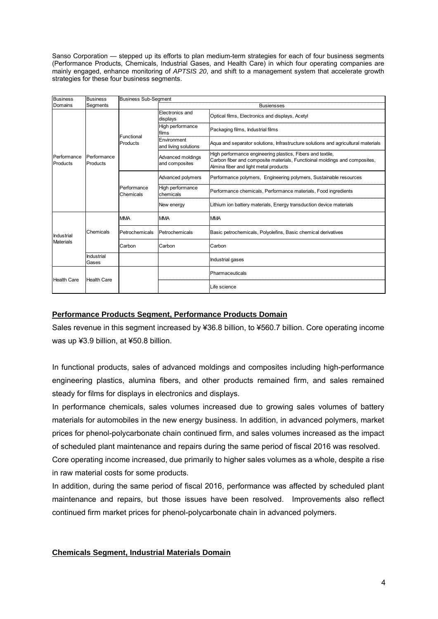Sanso Corporation — stepped up its efforts to plan medium-term strategies for each of four business segments (Performance Products, Chemicals, Industrial Gases, and Health Care) in which four operating companies are mainly engaged, enhance monitoring of *APTSIS 20*, and shift to a management system that accelerate growth strategies for these four business segments.

| <b>Business</b>                | <b>Business</b>         | <b>Business Sub-Segment</b> |                                     |                                                                                                                                                                                   |  |
|--------------------------------|-------------------------|-----------------------------|-------------------------------------|-----------------------------------------------------------------------------------------------------------------------------------------------------------------------------------|--|
| Domains                        | Segments                |                             | <b>Busiensses</b>                   |                                                                                                                                                                                   |  |
|                                |                         | Functional<br>Products      | Electronics and<br>displays         | Optical films, Electronics and displays, Acetyl                                                                                                                                   |  |
|                                |                         |                             | High performance<br>ifilms          | Packaging films, Industrial films                                                                                                                                                 |  |
|                                |                         |                             | Environment<br>and living solutions | Aqua and separator solutions, Infrastructure solutions and agricultural materials                                                                                                 |  |
| Performance<br>Products        | Performance<br>Products |                             | Advanced moldings<br>and composites | High performance engineering plastics, Fibers and textile,<br>Carbon fiber and composite materials, Functioinal moldings and composites,<br>Almina fiber and light metal products |  |
|                                |                         | Performance<br>Chemicals    | Advanced polymers                   | Performance polymers, Engineering polymers, Sustainable resources                                                                                                                 |  |
|                                |                         |                             | High performance<br>chemicals       | Performance chemicals, Performance materials, Food ingredients                                                                                                                    |  |
|                                |                         |                             | New energy                          | Lithium ion battery materials, Energy transduction device materials                                                                                                               |  |
| Industrial<br><b>Materials</b> |                         | <b>MMA</b>                  | <b>MMA</b>                          | <b>IMMA</b>                                                                                                                                                                       |  |
|                                | Chemicals               | Petrochemicals              | Petrochemicals                      | Basic petrochemicals, Polyolefins, Basic chemical derivatives                                                                                                                     |  |
|                                |                         | Carbon                      | Carbon                              | Carbon                                                                                                                                                                            |  |
|                                | Industrial<br>Gases     |                             |                                     | Industrial gases                                                                                                                                                                  |  |
| <b>Health Care</b>             |                         |                             |                                     | Pharmaceuticals                                                                                                                                                                   |  |
|                                | <b>Health Care</b>      |                             |                                     | Life science                                                                                                                                                                      |  |

# **Performance Products Segment, Performance Products Domain**

Sales revenue in this segment increased by ¥36.8 billion, to ¥560.7 billion. Core operating income was up ¥3.9 billion, at ¥50.8 billion.

In functional products, sales of advanced moldings and composites including high-performance engineering plastics, alumina fibers, and other products remained firm, and sales remained steady for films for displays in electronics and displays.

In performance chemicals, sales volumes increased due to growing sales volumes of battery materials for automobiles in the new energy business. In addition, in advanced polymers, market prices for phenol-polycarbonate chain continued firm, and sales volumes increased as the impact of scheduled plant maintenance and repairs during the same period of fiscal 2016 was resolved.

Core operating income increased, due primarily to higher sales volumes as a whole, despite a rise in raw material costs for some products.

In addition, during the same period of fiscal 2016, performance was affected by scheduled plant maintenance and repairs, but those issues have been resolved. Improvements also reflect continued firm market prices for phenol-polycarbonate chain in advanced polymers.

### **Chemicals Segment, Industrial Materials Domain**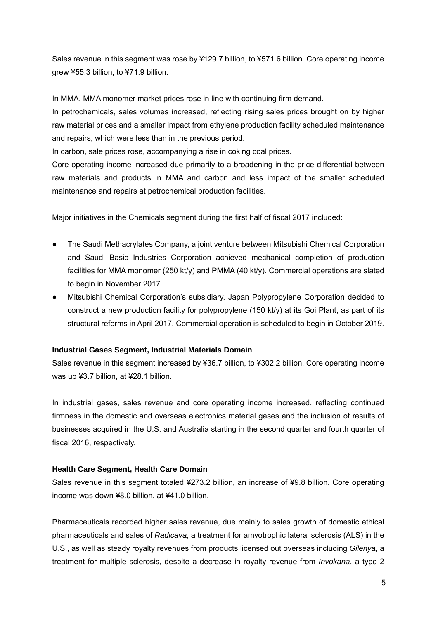Sales revenue in this segment was rose by ¥129.7 billion, to ¥571.6 billion. Core operating income grew ¥55.3 billion, to ¥71.9 billion.

In MMA, MMA monomer market prices rose in line with continuing firm demand.

In petrochemicals, sales volumes increased, reflecting rising sales prices brought on by higher raw material prices and a smaller impact from ethylene production facility scheduled maintenance and repairs, which were less than in the previous period.

In carbon, sale prices rose, accompanying a rise in coking coal prices.

Core operating income increased due primarily to a broadening in the price differential between raw materials and products in MMA and carbon and less impact of the smaller scheduled maintenance and repairs at petrochemical production facilities.

Major initiatives in the Chemicals segment during the first half of fiscal 2017 included:

- The Saudi Methacrylates Company, a joint venture between Mitsubishi Chemical Corporation and Saudi Basic Industries Corporation achieved mechanical completion of production facilities for MMA monomer (250 kt/y) and PMMA (40 kt/y). Commercial operations are slated to begin in November 2017.
- Mitsubishi Chemical Corporation's subsidiary, Japan Polypropylene Corporation decided to construct a new production facility for polypropylene (150 kt/y) at its Goi Plant, as part of its structural reforms in April 2017. Commercial operation is scheduled to begin in October 2019.

### **Industrial Gases Segment, Industrial Materials Domain**

Sales revenue in this segment increased by ¥36.7 billion, to ¥302.2 billion. Core operating income was up ¥3.7 billion, at ¥28.1 billion.

In industrial gases, sales revenue and core operating income increased, reflecting continued firmness in the domestic and overseas electronics material gases and the inclusion of results of businesses acquired in the U.S. and Australia starting in the second quarter and fourth quarter of fiscal 2016, respectively.

#### **Health Care Segment, Health Care Domain**

Sales revenue in this segment totaled ¥273.2 billion, an increase of ¥9.8 billion. Core operating income was down ¥8.0 billion, at ¥41.0 billion.

Pharmaceuticals recorded higher sales revenue, due mainly to sales growth of domestic ethical pharmaceuticals and sales of *Radicava*, a treatment for amyotrophic lateral sclerosis (ALS) in the U.S., as well as steady royalty revenues from products licensed out overseas including *Gilenya*, a treatment for multiple sclerosis, despite a decrease in royalty revenue from *Invokana*, a type 2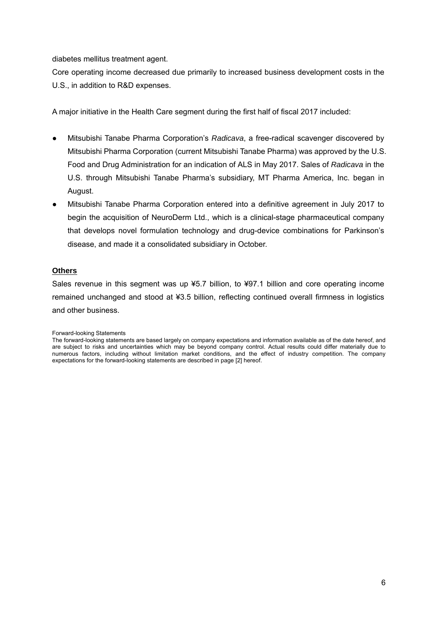diabetes mellitus treatment agent.

Core operating income decreased due primarily to increased business development costs in the U.S., in addition to R&D expenses.

A major initiative in the Health Care segment during the first half of fiscal 2017 included:

- Mitsubishi Tanabe Pharma Corporation's *Radicava*, a free-radical scavenger discovered by Mitsubishi Pharma Corporation (current Mitsubishi Tanabe Pharma) was approved by the U.S. Food and Drug Administration for an indication of ALS in May 2017. Sales of *Radicava* in the U.S. through Mitsubishi Tanabe Pharma's subsidiary, MT Pharma America, Inc. began in August.
- Mitsubishi Tanabe Pharma Corporation entered into a definitive agreement in July 2017 to begin the acquisition of NeuroDerm Ltd., which is a clinical-stage pharmaceutical company that develops novel formulation technology and drug-device combinations for Parkinson's disease, and made it a consolidated subsidiary in October.

#### **Others**

Sales revenue in this segment was up ¥5.7 billion, to ¥97.1 billion and core operating income remained unchanged and stood at ¥3.5 billion, reflecting continued overall firmness in logistics and other business.

Forward-looking Statements

The forward-looking statements are based largely on company expectations and information available as of the date hereof, and are subject to risks and uncertainties which may be beyond company control. Actual results could differ materially due to numerous factors, including without limitation market conditions, and the effect of industry competition. The company expectations for the forward-looking statements are described in page [2] hereof.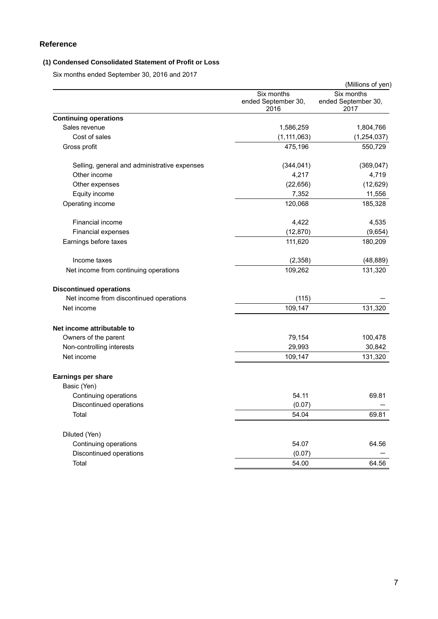### **Reference**

### **(1) Condensed Consolidated Statement of Profit or Loss**

Six months ended September 30, 2016 and 2017

|                                              |                                           | (Millions of yen)                         |
|----------------------------------------------|-------------------------------------------|-------------------------------------------|
|                                              | Six months<br>ended September 30,<br>2016 | Six months<br>ended September 30,<br>2017 |
| <b>Continuing operations</b>                 |                                           |                                           |
| Sales revenue                                | 1,586,259                                 | 1,804,766                                 |
| Cost of sales                                | (1, 111, 063)                             | (1, 254, 037)                             |
| Gross profit                                 | 475,196                                   | 550,729                                   |
| Selling, general and administrative expenses | (344, 041)                                | (369, 047)                                |
| Other income                                 | 4,217                                     | 4,719                                     |
| Other expenses                               | (22, 656)                                 | (12, 629)                                 |
| Equity income                                | 7,352                                     | 11,556                                    |
| Operating income                             | 120,068                                   | 185,328                                   |
| Financial income                             | 4,422                                     | 4,535                                     |
| <b>Financial expenses</b>                    | (12, 870)                                 | (9,654)                                   |
| Earnings before taxes                        | 111,620                                   | 180,209                                   |
| Income taxes                                 | (2, 358)                                  | (48, 889)                                 |
| Net income from continuing operations        | 109,262                                   | 131,320                                   |
| <b>Discontinued operations</b>               |                                           |                                           |
| Net income from discontinued operations      | (115)                                     |                                           |
| Net income                                   | 109,147                                   | 131,320                                   |
| Net income attributable to                   |                                           |                                           |
| Owners of the parent                         | 79,154                                    | 100,478                                   |
| Non-controlling interests                    | 29,993                                    | 30,842                                    |
| Net income                                   | 109,147                                   | 131,320                                   |
| Earnings per share                           |                                           |                                           |
| Basic (Yen)                                  |                                           |                                           |
| Continuing operations                        | 54.11                                     | 69.81                                     |
| Discontinued operations                      | (0.07)                                    |                                           |
| Total                                        | 54.04                                     | 69.81                                     |
| Diluted (Yen)                                |                                           |                                           |
| Continuing operations                        | 54.07                                     | 64.56                                     |
| Discontinued operations                      | (0.07)                                    |                                           |
| Total                                        | 54.00                                     | 64.56                                     |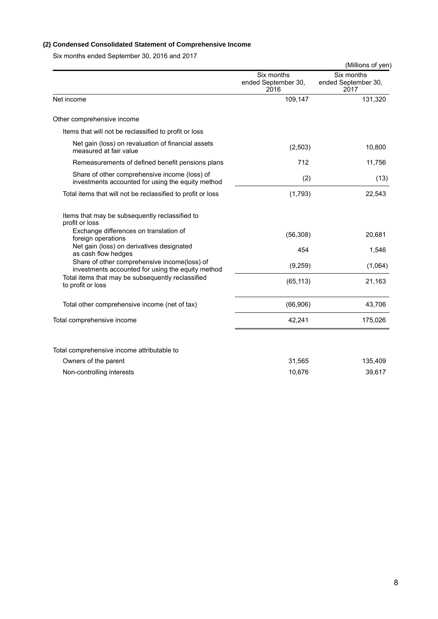### **(2) Condensed Consolidated Statement of Comprehensive Income**

Six months ended September 30, 2016 and 2017

|                                                                                                    |                                           | (Millions of yen)                         |
|----------------------------------------------------------------------------------------------------|-------------------------------------------|-------------------------------------------|
|                                                                                                    | Six months<br>ended September 30,<br>2016 | Six months<br>ended September 30,<br>2017 |
| Net income                                                                                         | 109,147                                   | 131,320                                   |
| Other comprehensive income                                                                         |                                           |                                           |
| Items that will not be reclassified to profit or loss                                              |                                           |                                           |
| Net gain (loss) on revaluation of financial assets<br>measured at fair value                       | (2,503)                                   | 10,800                                    |
| Remeasurements of defined benefit pensions plans                                                   | 712                                       | 11,756                                    |
| Share of other comprehensive income (loss) of<br>investments accounted for using the equity method | (2)                                       | (13)                                      |
| Total items that will not be reclassified to profit or loss                                        | (1,793)                                   | 22,543                                    |
| Items that may be subsequently reclassified to<br>profit or loss                                   |                                           |                                           |
| Exchange differences on translation of<br>foreign operations                                       | (56, 308)                                 | 20,681                                    |
| Net gain (loss) on derivatives designated<br>as cash flow hedges                                   | 454                                       | 1,546                                     |
| Share of other comprehensive income(loss) of<br>investments accounted for using the equity method  | (9,259)                                   | (1,064)                                   |
| Total items that may be subsequently reclassified<br>to profit or loss                             | (65, 113)                                 | 21,163                                    |
| Total other comprehensive income (net of tax)                                                      | (66,906)                                  | 43,706                                    |
| Total comprehensive income                                                                         | 42,241                                    | 175,026                                   |
| Total comprehensive income attributable to                                                         |                                           |                                           |
| Owners of the parent                                                                               | 31,565                                    | 135,409                                   |
| Non-controlling interests                                                                          | 10,676                                    | 39,617                                    |
|                                                                                                    |                                           |                                           |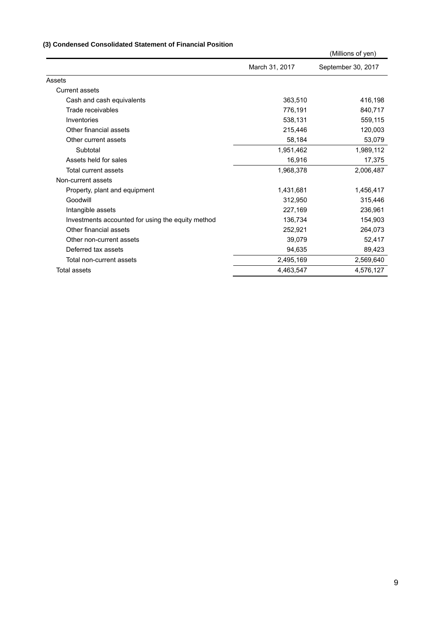### **(3) Condensed Consolidated Statement of Financial Position**

|                                                   |                | (Millions of yen)  |
|---------------------------------------------------|----------------|--------------------|
|                                                   | March 31, 2017 | September 30, 2017 |
| Assets                                            |                |                    |
| <b>Current assets</b>                             |                |                    |
| Cash and cash equivalents                         | 363,510        | 416,198            |
| Trade receivables                                 | 776,191        | 840,717            |
| Inventories                                       | 538,131        | 559,115            |
| Other financial assets                            | 215,446        | 120,003            |
| Other current assets                              | 58,184         | 53,079             |
| Subtotal                                          | 1,951,462      | 1,989,112          |
| Assets held for sales                             | 16,916         | 17,375             |
| Total current assets                              | 1,968,378      | 2,006,487          |
| Non-current assets                                |                |                    |
| Property, plant and equipment                     | 1,431,681      | 1,456,417          |
| Goodwill                                          | 312,950        | 315,446            |
| Intangible assets                                 | 227,169        | 236,961            |
| Investments accounted for using the equity method | 136,734        | 154,903            |
| Other financial assets                            | 252,921        | 264,073            |
| Other non-current assets                          | 39,079         | 52,417             |
| Deferred tax assets                               | 94,635         | 89,423             |
| Total non-current assets                          | 2,495,169      | 2,569,640          |
| Total assets                                      | 4,463,547      | 4,576,127          |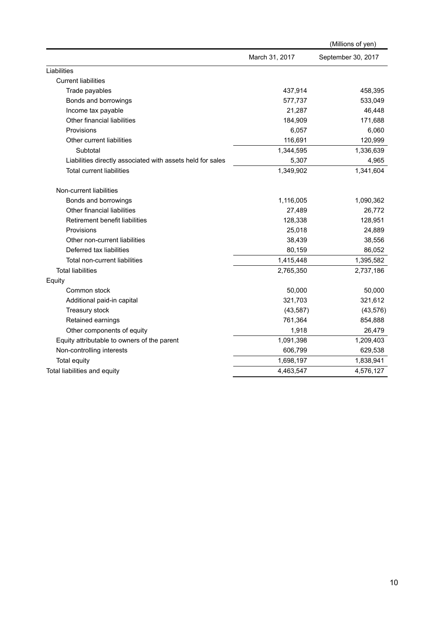|                                                            |                | (Millions of yen)  |
|------------------------------------------------------------|----------------|--------------------|
|                                                            | March 31, 2017 | September 30, 2017 |
| Liabilities                                                |                |                    |
| <b>Current liabilities</b>                                 |                |                    |
| Trade payables                                             | 437,914        | 458,395            |
| Bonds and borrowings                                       | 577,737        | 533,049            |
| Income tax payable                                         | 21,287         | 46,448             |
| Other financial liabilities                                | 184,909        | 171,688            |
| Provisions                                                 | 6,057          | 6,060              |
| Other current liabilities                                  | 116,691        | 120,999            |
| Subtotal                                                   | 1,344,595      | 1,336,639          |
| Liabilities directly associated with assets held for sales | 5,307          | 4,965              |
| <b>Total current liabilities</b>                           | 1,349,902      | 1,341,604          |
| Non-current liabilities                                    |                |                    |
| Bonds and borrowings                                       | 1,116,005      | 1,090,362          |
| Other financial liabilities                                | 27,489         | 26,772             |
| Retirement benefit liabilities                             | 128,338        | 128,951            |
| Provisions                                                 | 25,018         | 24,889             |
| Other non-current liabilities                              | 38,439         | 38,556             |
| Deferred tax liabilities                                   | 80,159         | 86,052             |
| Total non-current liabilities                              | 1,415,448      | 1,395,582          |
| <b>Total liabilities</b>                                   | 2,765,350      | 2,737,186          |
| Equity                                                     |                |                    |
| Common stock                                               | 50,000         | 50,000             |
| Additional paid-in capital                                 | 321,703        | 321,612            |
| Treasury stock                                             | (43, 587)      | (43, 576)          |
| Retained earnings                                          | 761,364        | 854,888            |
| Other components of equity                                 | 1,918          | 26,479             |
| Equity attributable to owners of the parent                | 1,091,398      | 1,209,403          |
| Non-controlling interests                                  | 606,799        | 629,538            |
| Total equity                                               | 1,698,197      | 1,838,941          |
| Total liabilities and equity                               | 4,463,547      | 4,576,127          |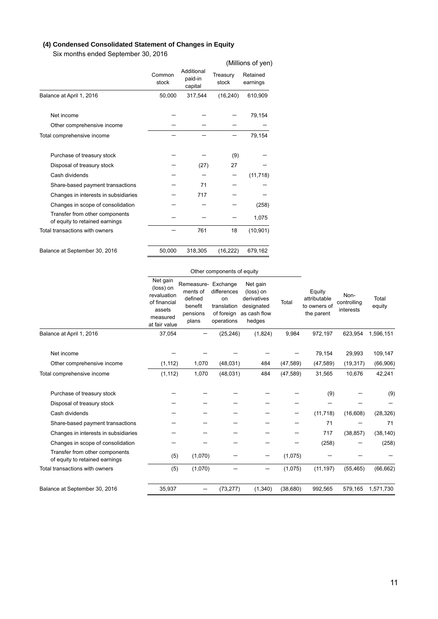### **(4) Condensed Consolidated Statement of Changes in Equity**

Six months ended September 30, 2016

|                                                                  |                 |                                  |                   | (Millions of yen)    |
|------------------------------------------------------------------|-----------------|----------------------------------|-------------------|----------------------|
|                                                                  | Common<br>stock | Additional<br>paid-in<br>capital | Treasury<br>stock | Retained<br>earnings |
| Balance at April 1, 2016                                         | 50,000          | 317,544                          | (16, 240)         | 610,909              |
| Net income                                                       |                 |                                  |                   | 79,154               |
| Other comprehensive income                                       |                 |                                  |                   |                      |
| Total comprehensive income                                       |                 |                                  |                   | 79,154               |
| Purchase of treasury stock                                       |                 |                                  | (9)               |                      |
| Disposal of treasury stock                                       |                 | (27)                             | 27                |                      |
| Cash dividends                                                   |                 |                                  |                   | (11, 718)            |
| Share-based payment transactions                                 |                 | 71                               |                   |                      |
| Changes in interests in subsidiaries                             |                 | 717                              |                   |                      |
| Changes in scope of consolidation                                |                 |                                  |                   | (258)                |
| Transfer from other components<br>of equity to retained earnings |                 |                                  |                   | 1,075                |
| Total transactions with owners                                   |                 | 761                              | 18                | (10, 901)            |
| Balance at September 30, 2016                                    | 50,000          | 318,305                          | (16, 222)         | 679,162              |

### Other components of equity

|                                                                  | Net gain<br>(loss) on<br>revaluation<br>of financial<br>assets<br>measured<br>at fair value | Remeasure-<br>ments of<br>defined<br>benefit<br>pensions<br>plans | Exchange<br>differences<br>on<br>translation<br>of foreign<br>operations | Net gain<br>(loss) on<br>derivatives<br>designated<br>as cash flow<br>hedges | Total     | Equity<br>attributable<br>to owners of<br>the parent | Non-<br>controlling<br>interests | Total<br>equity |
|------------------------------------------------------------------|---------------------------------------------------------------------------------------------|-------------------------------------------------------------------|--------------------------------------------------------------------------|------------------------------------------------------------------------------|-----------|------------------------------------------------------|----------------------------------|-----------------|
| Balance at April 1, 2016                                         | 37,054                                                                                      |                                                                   | (25, 246)                                                                | (1,824)                                                                      | 9,984     | 972,197                                              | 623,954                          | 1,596,151       |
| Net income                                                       |                                                                                             |                                                                   |                                                                          |                                                                              |           | 79,154                                               | 29,993                           | 109,147         |
| Other comprehensive income                                       | (1, 112)                                                                                    | 1,070                                                             | (48, 031)                                                                | 484                                                                          | (47, 589) | (47, 589)                                            | (19, 317)                        | (66, 906)       |
| Total comprehensive income                                       | (1, 112)                                                                                    | 1,070                                                             | (48,031)                                                                 | 484                                                                          | (47, 589) | 31,565                                               | 10,676                           | 42,241          |
| Purchase of treasury stock                                       |                                                                                             |                                                                   |                                                                          |                                                                              |           | (9)                                                  |                                  | (9)             |
| Disposal of treasury stock                                       |                                                                                             |                                                                   |                                                                          |                                                                              |           |                                                      |                                  |                 |
| Cash dividends                                                   |                                                                                             |                                                                   |                                                                          |                                                                              |           | (11, 718)                                            | (16, 608)                        | (28, 326)       |
| Share-based payment transactions                                 |                                                                                             |                                                                   |                                                                          |                                                                              |           | 71                                                   |                                  | 71              |
| Changes in interests in subsidiaries                             |                                                                                             |                                                                   |                                                                          |                                                                              |           | 717                                                  | (38, 857)                        | (38, 140)       |
| Changes in scope of consolidation                                |                                                                                             |                                                                   |                                                                          |                                                                              |           | (258)                                                |                                  | (258)           |
| Transfer from other components<br>of equity to retained earnings | (5)                                                                                         | (1,070)                                                           |                                                                          |                                                                              | (1,075)   |                                                      |                                  |                 |
| Total transactions with owners                                   | (5)                                                                                         | (1,070)                                                           |                                                                          | —                                                                            | (1,075)   | (11, 197)                                            | (55, 465)                        | (66, 662)       |
| Balance at September 30, 2016                                    | 35,937                                                                                      |                                                                   | (73, 277)                                                                | (1,340)                                                                      | (38,680)  | 992.565                                              | 579.165                          | 1,571,730       |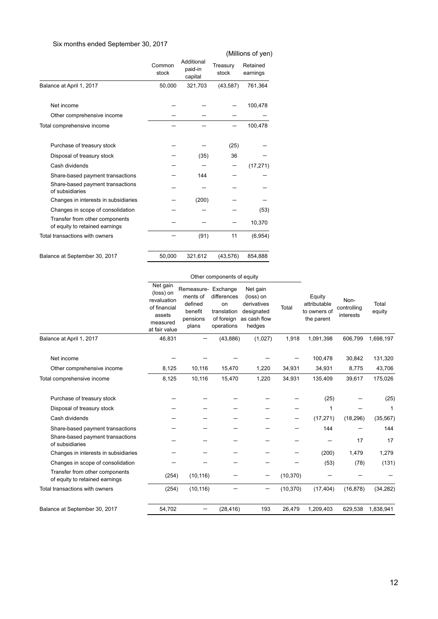### Six months ended September 30, 2017

|                                                                  | Common<br>stock | Additional<br>paid-in<br>capital | Treasury<br>stock | Retained<br>earnings |
|------------------------------------------------------------------|-----------------|----------------------------------|-------------------|----------------------|
| Balance at April 1, 2017                                         | 50,000          | 321,703                          | (43, 587)         | 761,364              |
| Net income                                                       |                 |                                  |                   | 100,478              |
| Other comprehensive income                                       |                 |                                  |                   |                      |
| Total comprehensive income                                       |                 |                                  |                   | 100,478              |
| Purchase of treasury stock                                       |                 |                                  | (25)              |                      |
| Disposal of treasury stock                                       |                 | (35)                             | 36                |                      |
| Cash dividends                                                   |                 |                                  |                   | (17, 271)            |
| Share-based payment transactions                                 |                 | 144                              |                   |                      |
| Share-based payment transactions<br>of subsidiaries              |                 |                                  |                   |                      |
| Changes in interests in subsidiaries                             |                 | (200)                            |                   |                      |
| Changes in scope of consolidation                                |                 |                                  |                   | (53)                 |
| Transfer from other components<br>of equity to retained earnings |                 |                                  |                   | 10,370               |
| Total transactions with owners                                   |                 | (91)                             | 11                | (6,954)              |
| Balance at September 30, 2017                                    | 50,000          | 321,612                          | (43, 576)         | 854.888              |

|                                                                                                                                                                  |                                                                                             | Other components of equity                                                 |                                                              |                                                                              |           |                                                      |                                  |                                     |
|------------------------------------------------------------------------------------------------------------------------------------------------------------------|---------------------------------------------------------------------------------------------|----------------------------------------------------------------------------|--------------------------------------------------------------|------------------------------------------------------------------------------|-----------|------------------------------------------------------|----------------------------------|-------------------------------------|
|                                                                                                                                                                  | Net gain<br>(loss) on<br>revaluation<br>of financial<br>assets<br>measured<br>at fair value | Remeasure- Exchange<br>ments of<br>defined<br>benefit<br>pensions<br>plans | differences<br>on<br>translation<br>of foreign<br>operations | Net gain<br>(loss) on<br>derivatives<br>designated<br>as cash flow<br>hedges | Total     | Equity<br>attributable<br>to owners of<br>the parent | Non-<br>controlling<br>interests | Total<br>equity                     |
| Balance at April 1, 2017                                                                                                                                         | 46,831                                                                                      |                                                                            | (43, 886)                                                    | (1,027)                                                                      | 1,918     | 1,091,398                                            | 606,799                          | 1,698,197                           |
| Net income<br>Other comprehensive income                                                                                                                         | 8,125                                                                                       | 10,116                                                                     | 15,470                                                       | 1,220                                                                        | 34,931    | 100,478<br>34,931                                    | 30,842<br>8,775                  | 131,320<br>43,706                   |
| Total comprehensive income                                                                                                                                       | 8,125                                                                                       | 10,116                                                                     | 15,470                                                       | 1,220                                                                        | 34,931    | 135,409                                              | 39,617                           | 175,026                             |
| Purchase of treasury stock<br>Disposal of treasury stock<br>Cash dividends<br>Share-based payment transactions<br>Share-based payment transactions               |                                                                                             |                                                                            |                                                              |                                                                              |           | (25)<br>1<br>(17, 271)<br>144                        | (18, 296)<br>17                  | (25)<br>1<br>(35, 567)<br>144<br>17 |
| of subsidiaries<br>Changes in interests in subsidiaries<br>Changes in scope of consolidation<br>Transfer from other components<br>of equity to retained earnings | (254)                                                                                       | (10, 116)                                                                  |                                                              |                                                                              | (10, 370) | (200)<br>(53)                                        | 1,479<br>(78)                    | 1,279<br>(131)                      |
| Total transactions with owners                                                                                                                                   | (254)                                                                                       | (10, 116)                                                                  |                                                              |                                                                              | (10, 370) | (17, 404)                                            | (16, 878)                        | (34, 282)                           |

Balance at September 30, 2017 54,702 - (28,416) 193 26,479 1,209,403 629,538 1,838,941

(Millions of yen)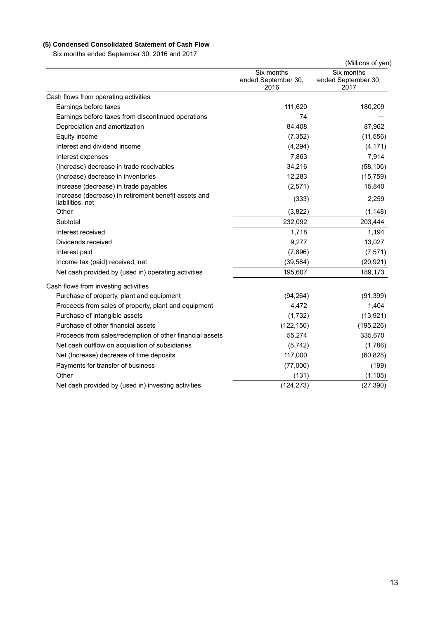# **(5) Condensed Consolidated Statement of Cash Flow**

Six months ended September 30, 2016 and 2017

| $\overline{\mathsf{S}}$ indities ended September 30, 2016 and 2017       |                                           | (Millions of yen)                         |
|--------------------------------------------------------------------------|-------------------------------------------|-------------------------------------------|
|                                                                          | Six months<br>ended September 30,<br>2016 | Six months<br>ended September 30,<br>2017 |
| Cash flows from operating activities                                     |                                           |                                           |
| Earnings before taxes                                                    | 111,620                                   | 180,209                                   |
| Earnings before taxes from discontinued operations                       | 74                                        |                                           |
| Depreciation and amortization                                            | 84,408                                    | 87,962                                    |
| Equity income                                                            | (7, 352)                                  | (11, 556)                                 |
| Interest and dividend income                                             | (4,294)                                   | (4, 171)                                  |
| Interest expenses                                                        | 7,863                                     | 7,914                                     |
| (Increase) decrease in trade receivables                                 | 34,216                                    | (58, 106)                                 |
| (Increase) decrease in inventories                                       | 12,283                                    | (15, 759)                                 |
| Increase (decrease) in trade payables                                    | (2,571)                                   | 15,840                                    |
| Increase (decrease) in retirement benefit assets and<br>liabilities, net | (333)                                     | 2,259                                     |
| Other                                                                    | (3,822)                                   | (1, 148)                                  |
| Subtotal                                                                 | 232,092                                   | 203,444                                   |
| Interest received                                                        | 1,718                                     | 1,194                                     |
| Dividends received                                                       | 9,277                                     | 13,027                                    |
| Interest paid                                                            | (7,896)                                   | (7, 571)                                  |
| Income tax (paid) received, net                                          | (39, 584)                                 | (20, 921)                                 |
| Net cash provided by (used in) operating activities                      | 195,607                                   | 189,173                                   |
| Cash flows from investing activities                                     |                                           |                                           |
| Purchase of property, plant and equipment                                | (94, 264)                                 | (91, 399)                                 |
| Proceeds from sales of property, plant and equipment                     | 4,472                                     | 1,404                                     |
| Purchase of intangible assets                                            | (1,732)                                   | (13, 921)                                 |
| Purchase of other financial assets                                       | (122, 150)                                | (195, 226)                                |
| Proceeds from sales/redemption of other financial assets                 | 55,274                                    | 335,670                                   |
| Net cash outflow on acquisition of subsidiaries                          | (5, 742)                                  | (1,786)                                   |
| Net (Increase) decrease of time deposits                                 | 117,000                                   | (60, 828)                                 |
| Payments for transfer of business                                        | (77,000)                                  | (199)                                     |
| Other                                                                    | (131)                                     | (1, 105)                                  |
| Net cash provided by (used in) investing activities                      | (124, 273)                                | (27, 390)                                 |